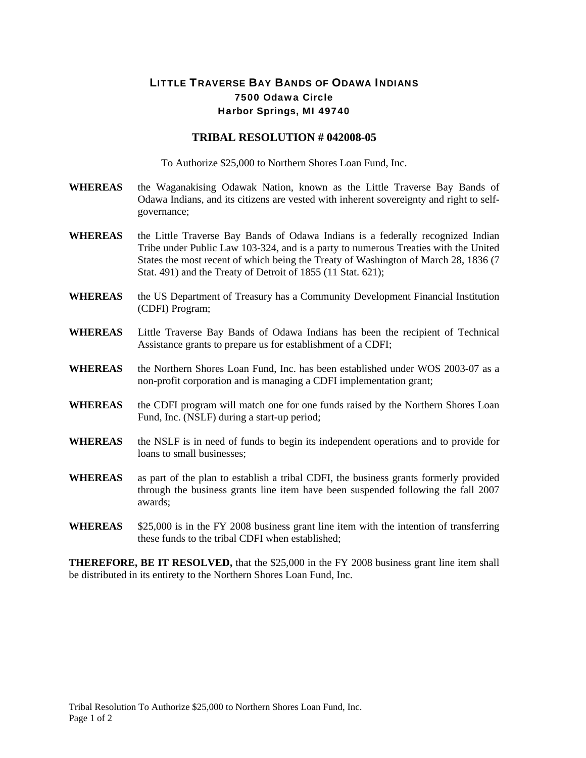## LITTLE TRAVERSE BAY BANDS OF ODAWA INDIANS 7500 Odawa Circle Harbor Springs, MI 49740

## **TRIBAL RESOLUTION # 042008-05**

To Authorize \$25,000 to Northern Shores Loan Fund, Inc.

- **WHEREAS** the Waganakising Odawak Nation, known as the Little Traverse Bay Bands of Odawa Indians, and its citizens are vested with inherent sovereignty and right to selfgovernance;
- WHEREAS the Little Traverse Bay Bands of Odawa Indians is a federally recognized Indian Tribe under Public Law 103-324, and is a party to numerous Treaties with the United States the most recent of which being the Treaty of Washington of March 28, 1836 (7 Stat. 491) and the Treaty of Detroit of 1855 (11 Stat. 621);
- **WHEREAS** the US Department of Treasury has a Community Development Financial Institution (CDFI) Program;
- **WHEREAS** Little Traverse Bay Bands of Odawa Indians has been the recipient of Technical Assistance grants to prepare us for establishment of a CDFI;
- **WHEREAS** the Northern Shores Loan Fund, Inc. has been established under WOS 2003-07 as a non-profit corporation and is managing a CDFI implementation grant;
- WHEREAS the CDFI program will match one for one funds raised by the Northern Shores Loan Fund, Inc. (NSLF) during a start-up period;
- **WHEREAS** the NSLF is in need of funds to begin its independent operations and to provide for loans to small businesses;
- **WHEREAS** as part of the plan to establish a tribal CDFI, the business grants formerly provided through the business grants line item have been suspended following the fall 2007 awards;
- WHEREAS \$25,000 is in the FY 2008 business grant line item with the intention of transferring these funds to the tribal CDFI when established;

**THEREFORE, BE IT RESOLVED,** that the \$25,000 in the FY 2008 business grant line item shall be distributed in its entirety to the Northern Shores Loan Fund, Inc.